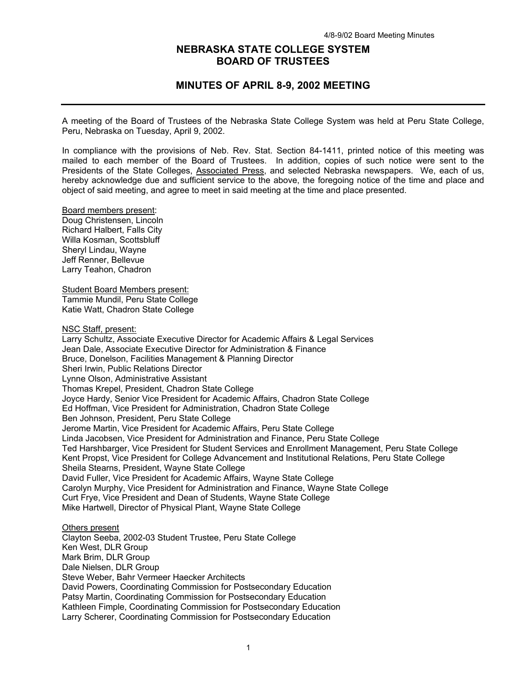# **NEBRASKA STATE COLLEGE SYSTEM BOARD OF TRUSTEES**

# **MINUTES OF APRIL 8-9, 2002 MEETING**

A meeting of the Board of Trustees of the Nebraska State College System was held at Peru State College, Peru, Nebraska on Tuesday, April 9, 2002.

In compliance with the provisions of Neb. Rev. Stat. Section 84-1411, printed notice of this meeting was mailed to each member of the Board of Trustees. In addition, copies of such notice were sent to the Presidents of the State Colleges, Associated Press, and selected Nebraska newspapers. We, each of us, hereby acknowledge due and sufficient service to the above, the foregoing notice of the time and place and object of said meeting, and agree to meet in said meeting at the time and place presented.

Board members present: Doug Christensen, Lincoln Richard Halbert, Falls City Willa Kosman, Scottsbluff Sheryl Lindau, Wayne Jeff Renner, Bellevue Larry Teahon, Chadron

Student Board Members present: Tammie Mundil, Peru State College Katie Watt, Chadron State College

NSC Staff, present:

Larry Schultz, Associate Executive Director for Academic Affairs & Legal Services Jean Dale, Associate Executive Director for Administration & Finance Bruce, Donelson, Facilities Management & Planning Director Sheri Irwin, Public Relations Director Lynne Olson, Administrative Assistant Thomas Krepel, President, Chadron State College Joyce Hardy, Senior Vice President for Academic Affairs, Chadron State College Ed Hoffman, Vice President for Administration, Chadron State College Ben Johnson, President, Peru State College Jerome Martin, Vice President for Academic Affairs, Peru State College Linda Jacobsen, Vice President for Administration and Finance, Peru State College Ted Harshbarger, Vice President for Student Services and Enrollment Management, Peru State College Kent Propst, Vice President for College Advancement and Institutional Relations, Peru State College Sheila Stearns, President, Wayne State College David Fuller, Vice President for Academic Affairs, Wayne State College Carolyn Murphy, Vice President for Administration and Finance, Wayne State College Curt Frye, Vice President and Dean of Students, Wayne State College Mike Hartwell, Director of Physical Plant, Wayne State College Others present

Clayton Seeba, 2002-03 Student Trustee, Peru State College Ken West, DLR Group Mark Brim, DLR Group Dale Nielsen, DLR Group Steve Weber, Bahr Vermeer Haecker Architects David Powers, Coordinating Commission for Postsecondary Education Patsy Martin, Coordinating Commission for Postsecondary Education Kathleen Fimple, Coordinating Commission for Postsecondary Education Larry Scherer, Coordinating Commission for Postsecondary Education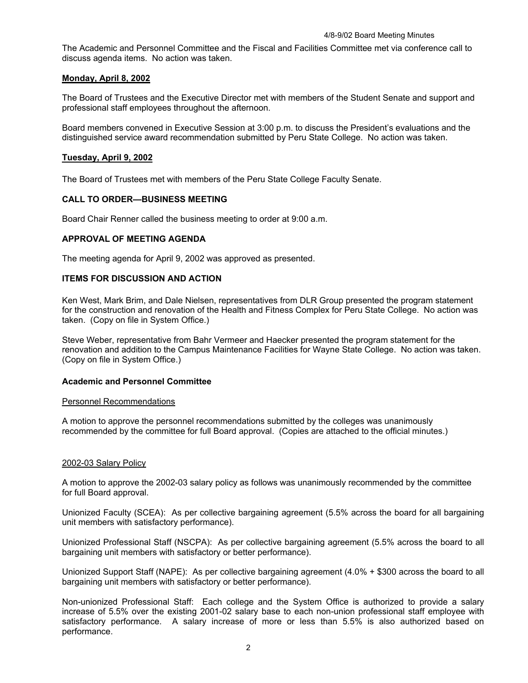The Academic and Personnel Committee and the Fiscal and Facilities Committee met via conference call to discuss agenda items. No action was taken.

# **Monday, April 8, 2002**

The Board of Trustees and the Executive Director met with members of the Student Senate and support and professional staff employees throughout the afternoon.

Board members convened in Executive Session at 3:00 p.m. to discuss the President's evaluations and the distinguished service award recommendation submitted by Peru State College. No action was taken.

# **Tuesday, April 9, 2002**

The Board of Trustees met with members of the Peru State College Faculty Senate.

# **CALL TO ORDER—BUSINESS MEETING**

Board Chair Renner called the business meeting to order at 9:00 a.m.

# **APPROVAL OF MEETING AGENDA**

The meeting agenda for April 9, 2002 was approved as presented.

# **ITEMS FOR DISCUSSION AND ACTION**

Ken West, Mark Brim, and Dale Nielsen, representatives from DLR Group presented the program statement for the construction and renovation of the Health and Fitness Complex for Peru State College. No action was taken. (Copy on file in System Office.)

Steve Weber, representative from Bahr Vermeer and Haecker presented the program statement for the renovation and addition to the Campus Maintenance Facilities for Wayne State College. No action was taken. (Copy on file in System Office.)

# **Academic and Personnel Committee**

# Personnel Recommendations

A motion to approve the personnel recommendations submitted by the colleges was unanimously recommended by the committee for full Board approval. (Copies are attached to the official minutes.)

# 2002-03 Salary Policy

A motion to approve the 2002-03 salary policy as follows was unanimously recommended by the committee for full Board approval.

Unionized Faculty (SCEA): As per collective bargaining agreement (5.5% across the board for all bargaining unit members with satisfactory performance).

Unionized Professional Staff (NSCPA): As per collective bargaining agreement (5.5% across the board to all bargaining unit members with satisfactory or better performance).

Unionized Support Staff (NAPE): As per collective bargaining agreement (4.0% + \$300 across the board to all bargaining unit members with satisfactory or better performance).

Non-unionized Professional Staff: Each college and the System Office is authorized to provide a salary increase of 5.5% over the existing 2001-02 salary base to each non-union professional staff employee with satisfactory performance. A salary increase of more or less than 5.5% is also authorized based on performance.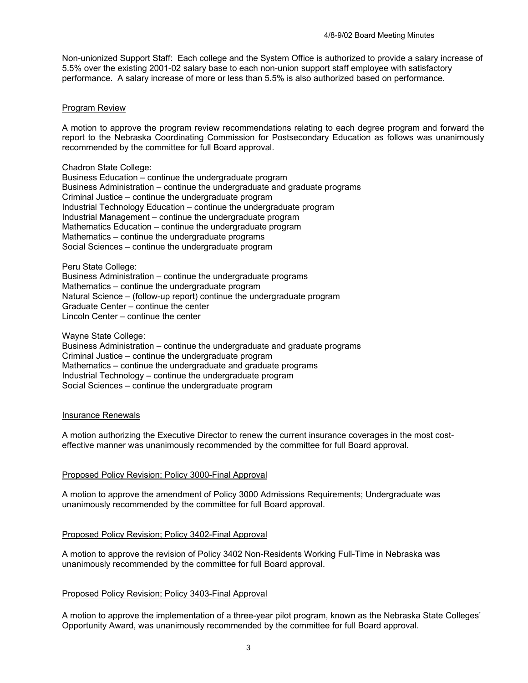Non-unionized Support Staff: Each college and the System Office is authorized to provide a salary increase of 5.5% over the existing 2001-02 salary base to each non-union support staff employee with satisfactory performance. A salary increase of more or less than 5.5% is also authorized based on performance.

# Program Review

A motion to approve the program review recommendations relating to each degree program and forward the report to the Nebraska Coordinating Commission for Postsecondary Education as follows was unanimously recommended by the committee for full Board approval.

Chadron State College:

Business Education – continue the undergraduate program Business Administration – continue the undergraduate and graduate programs Criminal Justice – continue the undergraduate program Industrial Technology Education – continue the undergraduate program Industrial Management – continue the undergraduate program Mathematics Education – continue the undergraduate program Mathematics – continue the undergraduate programs Social Sciences – continue the undergraduate program

Peru State College:

Business Administration – continue the undergraduate programs Mathematics – continue the undergraduate program Natural Science – (follow-up report) continue the undergraduate program Graduate Center – continue the center Lincoln Center – continue the center

Wayne State College:

Business Administration – continue the undergraduate and graduate programs Criminal Justice – continue the undergraduate program Mathematics – continue the undergraduate and graduate programs Industrial Technology – continue the undergraduate program Social Sciences – continue the undergraduate program

# Insurance Renewals

A motion authorizing the Executive Director to renew the current insurance coverages in the most costeffective manner was unanimously recommended by the committee for full Board approval.

# Proposed Policy Revision; Policy 3000-Final Approval

A motion to approve the amendment of Policy 3000 Admissions Requirements; Undergraduate was unanimously recommended by the committee for full Board approval.

# Proposed Policy Revision; Policy 3402-Final Approval

A motion to approve the revision of Policy 3402 Non-Residents Working Full-Time in Nebraska was unanimously recommended by the committee for full Board approval.

# Proposed Policy Revision; Policy 3403-Final Approval

A motion to approve the implementation of a three-year pilot program, known as the Nebraska State Colleges' Opportunity Award, was unanimously recommended by the committee for full Board approval.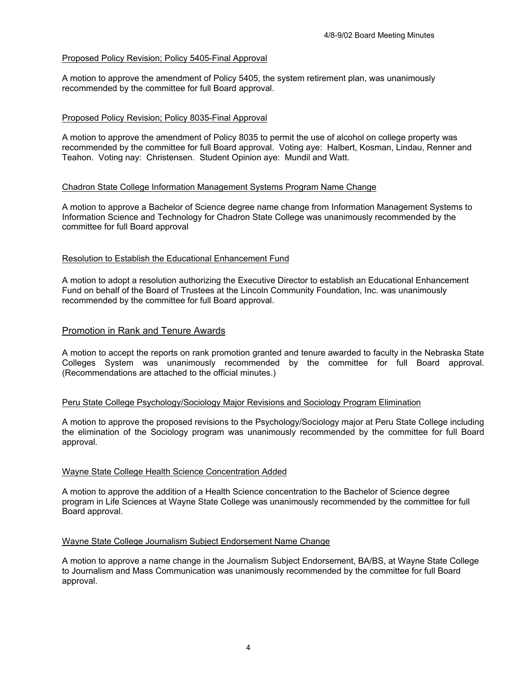# Proposed Policy Revision; Policy 5405-Final Approval

A motion to approve the amendment of Policy 5405, the system retirement plan, was unanimously recommended by the committee for full Board approval.

# Proposed Policy Revision; Policy 8035-Final Approval

A motion to approve the amendment of Policy 8035 to permit the use of alcohol on college property was recommended by the committee for full Board approval. Voting aye: Halbert, Kosman, Lindau, Renner and Teahon. Voting nay: Christensen. Student Opinion aye: Mundil and Watt.

# Chadron State College Information Management Systems Program Name Change

A motion to approve a Bachelor of Science degree name change from Information Management Systems to Information Science and Technology for Chadron State College was unanimously recommended by the committee for full Board approval

# Resolution to Establish the Educational Enhancement Fund

A motion to adopt a resolution authorizing the Executive Director to establish an Educational Enhancement Fund on behalf of the Board of Trustees at the Lincoln Community Foundation, Inc. was unanimously recommended by the committee for full Board approval.

# Promotion in Rank and Tenure Awards

A motion to accept the reports on rank promotion granted and tenure awarded to faculty in the Nebraska State Colleges System was unanimously recommended by the committee for full Board approval. (Recommendations are attached to the official minutes.)

# Peru State College Psychology/Sociology Major Revisions and Sociology Program Elimination

A motion to approve the proposed revisions to the Psychology/Sociology major at Peru State College including the elimination of the Sociology program was unanimously recommended by the committee for full Board approval.

# Wayne State College Health Science Concentration Added

A motion to approve the addition of a Health Science concentration to the Bachelor of Science degree program in Life Sciences at Wayne State College was unanimously recommended by the committee for full Board approval.

# Wayne State College Journalism Subject Endorsement Name Change

A motion to approve a name change in the Journalism Subject Endorsement, BA/BS, at Wayne State College to Journalism and Mass Communication was unanimously recommended by the committee for full Board approval.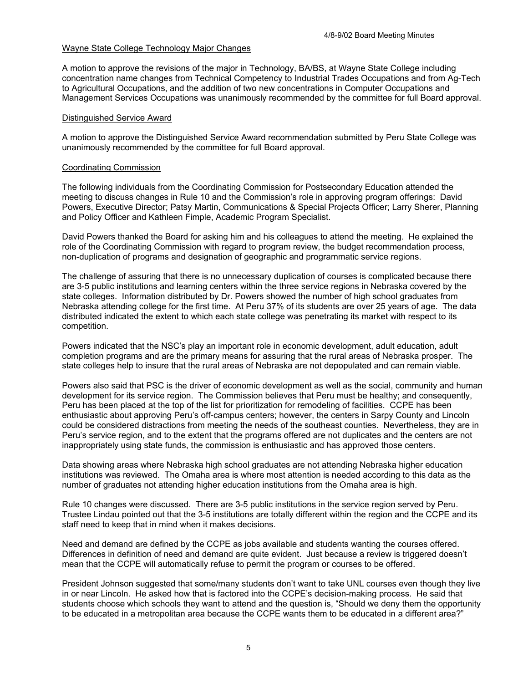# Wayne State College Technology Major Changes

A motion to approve the revisions of the major in Technology, BA/BS, at Wayne State College including concentration name changes from Technical Competency to Industrial Trades Occupations and from Ag-Tech to Agricultural Occupations, and the addition of two new concentrations in Computer Occupations and Management Services Occupations was unanimously recommended by the committee for full Board approval.

# Distinguished Service Award

A motion to approve the Distinguished Service Award recommendation submitted by Peru State College was unanimously recommended by the committee for full Board approval.

### Coordinating Commission

The following individuals from the Coordinating Commission for Postsecondary Education attended the meeting to discuss changes in Rule 10 and the Commission's role in approving program offerings: David Powers, Executive Director; Patsy Martin, Communications & Special Projects Officer; Larry Sherer, Planning and Policy Officer and Kathleen Fimple, Academic Program Specialist.

David Powers thanked the Board for asking him and his colleagues to attend the meeting. He explained the role of the Coordinating Commission with regard to program review, the budget recommendation process, non-duplication of programs and designation of geographic and programmatic service regions.

The challenge of assuring that there is no unnecessary duplication of courses is complicated because there are 3-5 public institutions and learning centers within the three service regions in Nebraska covered by the state colleges. Information distributed by Dr. Powers showed the number of high school graduates from Nebraska attending college for the first time. At Peru 37% of its students are over 25 years of age. The data distributed indicated the extent to which each state college was penetrating its market with respect to its competition.

Powers indicated that the NSC's play an important role in economic development, adult education, adult completion programs and are the primary means for assuring that the rural areas of Nebraska prosper. The state colleges help to insure that the rural areas of Nebraska are not depopulated and can remain viable.

Powers also said that PSC is the driver of economic development as well as the social, community and human development for its service region. The Commission believes that Peru must be healthy; and consequently, Peru has been placed at the top of the list for prioritization for remodeling of facilities. CCPE has been enthusiastic about approving Peru's off-campus centers; however, the centers in Sarpy County and Lincoln could be considered distractions from meeting the needs of the southeast counties. Nevertheless, they are in Peru's service region, and to the extent that the programs offered are not duplicates and the centers are not inappropriately using state funds, the commission is enthusiastic and has approved those centers.

Data showing areas where Nebraska high school graduates are not attending Nebraska higher education institutions was reviewed. The Omaha area is where most attention is needed according to this data as the number of graduates not attending higher education institutions from the Omaha area is high.

Rule 10 changes were discussed. There are 3-5 public institutions in the service region served by Peru. Trustee Lindau pointed out that the 3-5 institutions are totally different within the region and the CCPE and its staff need to keep that in mind when it makes decisions.

Need and demand are defined by the CCPE as jobs available and students wanting the courses offered. Differences in definition of need and demand are quite evident. Just because a review is triggered doesn't mean that the CCPE will automatically refuse to permit the program or courses to be offered.

President Johnson suggested that some/many students don't want to take UNL courses even though they live in or near Lincoln. He asked how that is factored into the CCPE's decision-making process. He said that students choose which schools they want to attend and the question is, "Should we deny them the opportunity to be educated in a metropolitan area because the CCPE wants them to be educated in a different area?"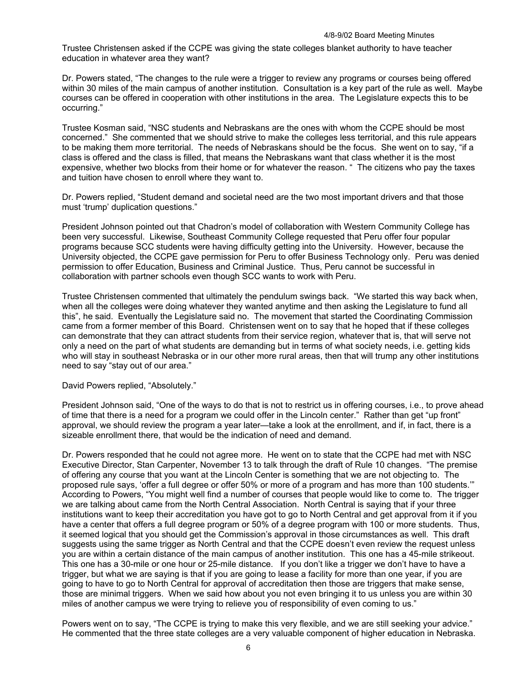Trustee Christensen asked if the CCPE was giving the state colleges blanket authority to have teacher education in whatever area they want?

Dr. Powers stated, "The changes to the rule were a trigger to review any programs or courses being offered within 30 miles of the main campus of another institution. Consultation is a key part of the rule as well. Maybe courses can be offered in cooperation with other institutions in the area. The Legislature expects this to be occurring."

Trustee Kosman said, "NSC students and Nebraskans are the ones with whom the CCPE should be most concerned." She commented that we should strive to make the colleges less territorial, and this rule appears to be making them more territorial. The needs of Nebraskans should be the focus. She went on to say, "if a class is offered and the class is filled, that means the Nebraskans want that class whether it is the most expensive, whether two blocks from their home or for whatever the reason. " The citizens who pay the taxes and tuition have chosen to enroll where they want to.

Dr. Powers replied, "Student demand and societal need are the two most important drivers and that those must 'trump' duplication questions."

President Johnson pointed out that Chadron's model of collaboration with Western Community College has been very successful. Likewise, Southeast Community College requested that Peru offer four popular programs because SCC students were having difficulty getting into the University. However, because the University objected, the CCPE gave permission for Peru to offer Business Technology only. Peru was denied permission to offer Education, Business and Criminal Justice. Thus, Peru cannot be successful in collaboration with partner schools even though SCC wants to work with Peru.

Trustee Christensen commented that ultimately the pendulum swings back. "We started this way back when, when all the colleges were doing whatever they wanted anytime and then asking the Legislature to fund all this", he said. Eventually the Legislature said no. The movement that started the Coordinating Commission came from a former member of this Board. Christensen went on to say that he hoped that if these colleges can demonstrate that they can attract students from their service region, whatever that is, that will serve not only a need on the part of what students are demanding but in terms of what society needs, i.e. getting kids who will stay in southeast Nebraska or in our other more rural areas, then that will trump any other institutions need to say "stay out of our area."

David Powers replied, "Absolutely."

President Johnson said, "One of the ways to do that is not to restrict us in offering courses, i.e., to prove ahead of time that there is a need for a program we could offer in the Lincoln center." Rather than get "up front" approval, we should review the program a year later—take a look at the enrollment, and if, in fact, there is a sizeable enrollment there, that would be the indication of need and demand.

Dr. Powers responded that he could not agree more. He went on to state that the CCPE had met with NSC Executive Director, Stan Carpenter, November 13 to talk through the draft of Rule 10 changes. "The premise of offering any course that you want at the Lincoln Center is something that we are not objecting to. The proposed rule says, 'offer a full degree or offer 50% or more of a program and has more than 100 students.'" According to Powers, "You might well find a number of courses that people would like to come to. The trigger we are talking about came from the North Central Association. North Central is saying that if your three institutions want to keep their accreditation you have got to go to North Central and get approval from it if you have a center that offers a full degree program or 50% of a degree program with 100 or more students. Thus, it seemed logical that you should get the Commission's approval in those circumstances as well. This draft suggests using the same trigger as North Central and that the CCPE doesn't even review the request unless you are within a certain distance of the main campus of another institution. This one has a 45-mile strikeout. This one has a 30-mile or one hour or 25-mile distance. If you don't like a trigger we don't have to have a trigger, but what we are saying is that if you are going to lease a facility for more than one year, if you are going to have to go to North Central for approval of accreditation then those are triggers that make sense, those are minimal triggers. When we said how about you not even bringing it to us unless you are within 30 miles of another campus we were trying to relieve you of responsibility of even coming to us."

Powers went on to say, "The CCPE is trying to make this very flexible, and we are still seeking your advice." He commented that the three state colleges are a very valuable component of higher education in Nebraska.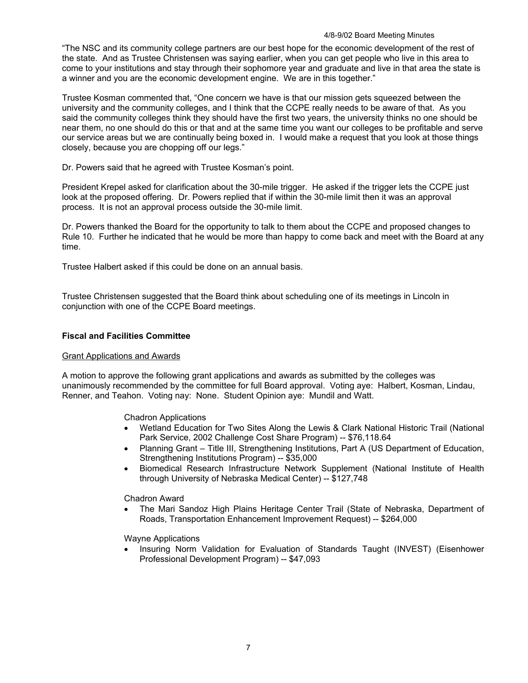#### 4/8-9/02 Board Meeting Minutes

"The NSC and its community college partners are our best hope for the economic development of the rest of the state. And as Trustee Christensen was saying earlier, when you can get people who live in this area to come to your institutions and stay through their sophomore year and graduate and live in that area the state is a winner and you are the economic development engine. We are in this together."

Trustee Kosman commented that, "One concern we have is that our mission gets squeezed between the university and the community colleges, and I think that the CCPE really needs to be aware of that. As you said the community colleges think they should have the first two years, the university thinks no one should be near them, no one should do this or that and at the same time you want our colleges to be profitable and serve our service areas but we are continually being boxed in. I would make a request that you look at those things closely, because you are chopping off our legs."

Dr. Powers said that he agreed with Trustee Kosman's point.

President Krepel asked for clarification about the 30-mile trigger. He asked if the trigger lets the CCPE just look at the proposed offering. Dr. Powers replied that if within the 30-mile limit then it was an approval process. It is not an approval process outside the 30-mile limit.

Dr. Powers thanked the Board for the opportunity to talk to them about the CCPE and proposed changes to Rule 10. Further he indicated that he would be more than happy to come back and meet with the Board at any time.

Trustee Halbert asked if this could be done on an annual basis.

Trustee Christensen suggested that the Board think about scheduling one of its meetings in Lincoln in conjunction with one of the CCPE Board meetings.

# **Fiscal and Facilities Committee**

# Grant Applications and Awards

A motion to approve the following grant applications and awards as submitted by the colleges was unanimously recommended by the committee for full Board approval. Voting aye: Halbert, Kosman, Lindau, Renner, and Teahon. Voting nay: None. Student Opinion aye: Mundil and Watt.

Chadron Applications

- Wetland Education for Two Sites Along the Lewis & Clark National Historic Trail (National Park Service, 2002 Challenge Cost Share Program) -- \$76,118.64
- Planning Grant Title III, Strengthening Institutions, Part A (US Department of Education, Strengthening Institutions Program) -- \$35,000
- Biomedical Research Infrastructure Network Supplement (National Institute of Health through University of Nebraska Medical Center) -- \$127,748

Chadron Award

• The Mari Sandoz High Plains Heritage Center Trail (State of Nebraska, Department of Roads, Transportation Enhancement Improvement Request) -- \$264,000

Wayne Applications

• Insuring Norm Validation for Evaluation of Standards Taught (INVEST) (Eisenhower Professional Development Program) -- \$47,093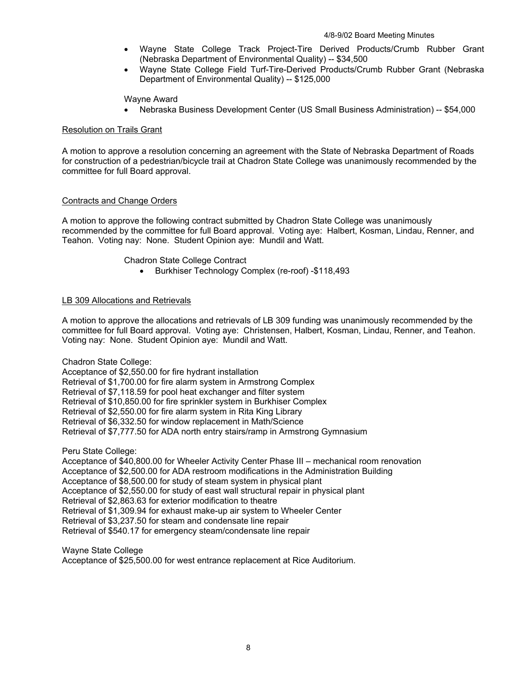- Wayne State College Track Project-Tire Derived Products/Crumb Rubber Grant (Nebraska Department of Environmental Quality) -- \$34,500
- Wayne State College Field Turf-Tire-Derived Products/Crumb Rubber Grant (Nebraska Department of Environmental Quality) -- \$125,000

# Wayne Award

• Nebraska Business Development Center (US Small Business Administration) -- \$54,000

# Resolution on Trails Grant

A motion to approve a resolution concerning an agreement with the State of Nebraska Department of Roads for construction of a pedestrian/bicycle trail at Chadron State College was unanimously recommended by the committee for full Board approval.

# Contracts and Change Orders

A motion to approve the following contract submitted by Chadron State College was unanimously recommended by the committee for full Board approval. Voting aye: Halbert, Kosman, Lindau, Renner, and Teahon. Voting nay: None. Student Opinion aye: Mundil and Watt.

# Chadron State College Contract

• Burkhiser Technology Complex (re-roof) -\$118,493

# LB 309 Allocations and Retrievals

A motion to approve the allocations and retrievals of LB 309 funding was unanimously recommended by the committee for full Board approval. Voting aye: Christensen, Halbert, Kosman, Lindau, Renner, and Teahon. Voting nay: None. Student Opinion aye: Mundil and Watt.

Chadron State College:

Acceptance of \$2,550.00 for fire hydrant installation Retrieval of \$1,700.00 for fire alarm system in Armstrong Complex Retrieval of \$7,118.59 for pool heat exchanger and filter system Retrieval of \$10,850.00 for fire sprinkler system in Burkhiser Complex Retrieval of \$2,550.00 for fire alarm system in Rita King Library Retrieval of \$6,332.50 for window replacement in Math/Science Retrieval of \$7,777.50 for ADA north entry stairs/ramp in Armstrong Gymnasium

Peru State College:

Acceptance of \$40,800.00 for Wheeler Activity Center Phase III – mechanical room renovation Acceptance of \$2,500.00 for ADA restroom modifications in the Administration Building Acceptance of \$8,500.00 for study of steam system in physical plant Acceptance of \$2,550.00 for study of east wall structural repair in physical plant Retrieval of \$2,863.63 for exterior modification to theatre Retrieval of \$1,309.94 for exhaust make-up air system to Wheeler Center Retrieval of \$3,237.50 for steam and condensate line repair Retrieval of \$540.17 for emergency steam/condensate line repair

Wayne State College Acceptance of \$25,500.00 for west entrance replacement at Rice Auditorium.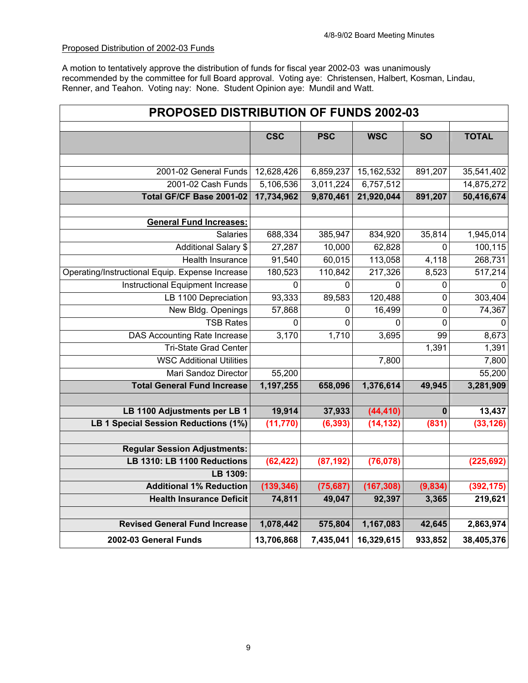# Proposed Distribution of 2002-03 Funds

A motion to tentatively approve the distribution of funds for fiscal year 2002-03 was unanimously recommended by the committee for full Board approval. Voting aye: Christensen, Halbert, Kosman, Lindau, Renner, and Teahon. Voting nay: None. Student Opinion aye: Mundil and Watt.

| <b>PROPOSED DISTRIBUTION OF FUNDS 2002-03</b>   |             |            |              |                     |              |
|-------------------------------------------------|-------------|------------|--------------|---------------------|--------------|
|                                                 | <b>CSC</b>  | <b>PSC</b> | <b>WSC</b>   | $\overline{SO}$     | <b>TOTAL</b> |
|                                                 |             |            |              |                     |              |
| 2001-02 General Funds                           | 12,628,426  | 6,859,237  | 15, 162, 532 | 891,207             | 35,541,402   |
| 2001-02 Cash Funds                              | 5,106,536   | 3,011,224  | 6,757,512    |                     | 14,875,272   |
| Total GF/CF Base 2001-02                        | 17,734,962  | 9,870,461  | 21,920,044   | 891,207             | 50,416,674   |
| <b>General Fund Increases:</b>                  |             |            |              |                     |              |
| Salaries                                        | 688,334     | 385,947    | 834,920      | 35,814              | 1,945,014    |
| <b>Additional Salary \$</b>                     | 27,287      | 10,000     | 62,828       | 0                   | 100,115      |
| <b>Health Insurance</b>                         | 91,540      | 60,015     | 113,058      | 4,118               | 268,731      |
| Operating/Instructional Equip. Expense Increase | 180,523     | 110,842    | 217,326      | 8,523               | 517,214      |
| <b>Instructional Equipment Increase</b>         | $\mathbf 0$ | 0          | 0            | 0                   | $\mathbf 0$  |
| LB 1100 Depreciation                            | 93,333      | 89,583     | 120,488      | 0                   | 303,404      |
| New Bldg. Openings                              | 57,868      | 0          | 16,499       | $\mathsf{O}\xspace$ | 74,367       |
| <b>TSB Rates</b>                                | $\Omega$    | $\Omega$   | 0            | 0                   | $\Omega$     |
| <b>DAS Accounting Rate Increase</b>             | 3,170       | 1,710      | 3,695        | 99                  | 8,673        |
| <b>Tri-State Grad Center</b>                    |             |            |              | 1,391               | 1,391        |
| <b>WSC Additional Utilities</b>                 |             |            | 7,800        |                     | 7,800        |
| Mari Sandoz Director                            | 55,200      |            |              |                     | 55,200       |
| <b>Total General Fund Increase</b>              | 1,197,255   | 658,096    | 1,376,614    | 49,945              | 3,281,909    |
|                                                 |             |            |              |                     |              |
| LB 1100 Adjustments per LB 1                    | 19,914      | 37,933     | (44, 410)    | $\bf{0}$            | 13,437       |
| LB 1 Special Session Reductions (1%)            | (11, 770)   | (6, 393)   | (14, 132)    | (831)               | (33, 126)    |
|                                                 |             |            |              |                     |              |
| <b>Regular Session Adjustments:</b>             |             |            |              |                     |              |
| LB 1310: LB 1100 Reductions                     | (62, 422)   | (87, 192)  | (76, 078)    |                     | (225, 692)   |
| LB 1309:                                        |             |            |              |                     |              |
| <b>Additional 1% Reduction</b>                  | (139, 346)  | (75, 687)  | (167, 308)   | (9,834)             | (392, 175)   |
| <b>Health Insurance Deficit</b>                 | 74,811      | 49,047     | 92,397       | 3,365               | 219,621      |
|                                                 |             |            |              |                     |              |
| <b>Revised General Fund Increase</b>            | 1,078,442   | 575,804    | 1,167,083    | 42,645              | 2,863,974    |
| 2002-03 General Funds                           | 13,706,868  | 7,435,041  | 16,329,615   | 933,852             | 38,405,376   |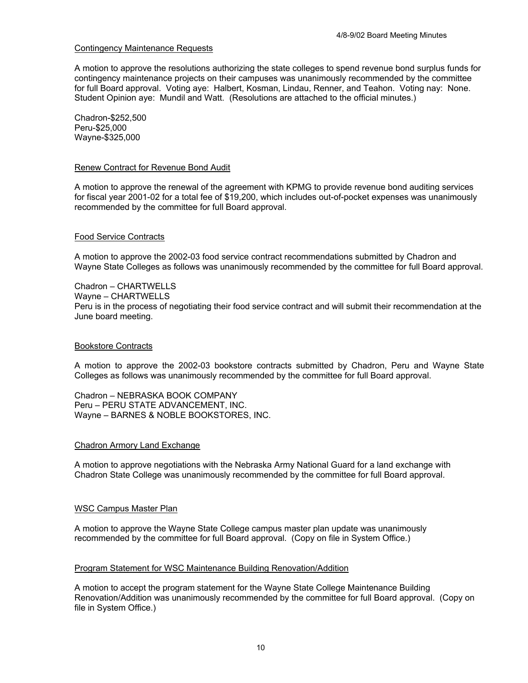### Contingency Maintenance Requests

A motion to approve the resolutions authorizing the state colleges to spend revenue bond surplus funds for contingency maintenance projects on their campuses was unanimously recommended by the committee for full Board approval. Voting aye: Halbert, Kosman, Lindau, Renner, and Teahon. Voting nay: None. Student Opinion aye: Mundil and Watt. (Resolutions are attached to the official minutes.)

Chadron-\$252,500 Peru-\$25,000 Wayne-\$325,000

#### Renew Contract for Revenue Bond Audit

A motion to approve the renewal of the agreement with KPMG to provide revenue bond auditing services for fiscal year 2001-02 for a total fee of \$19,200, which includes out-of-pocket expenses was unanimously recommended by the committee for full Board approval.

#### Food Service Contracts

A motion to approve the 2002-03 food service contract recommendations submitted by Chadron and Wayne State Colleges as follows was unanimously recommended by the committee for full Board approval.

Chadron – CHARTWELLS Wayne – CHARTWELLS Peru is in the process of negotiating their food service contract and will submit their recommendation at the June board meeting.

#### Bookstore Contracts

A motion to approve the 2002-03 bookstore contracts submitted by Chadron, Peru and Wayne State Colleges as follows was unanimously recommended by the committee for full Board approval.

Chadron – NEBRASKA BOOK COMPANY Peru – PERU STATE ADVANCEMENT, INC. Wayne – BARNES & NOBLE BOOKSTORES, INC.

#### Chadron Armory Land Exchange

A motion to approve negotiations with the Nebraska Army National Guard for a land exchange with Chadron State College was unanimously recommended by the committee for full Board approval.

#### WSC Campus Master Plan

A motion to approve the Wayne State College campus master plan update was unanimously recommended by the committee for full Board approval. (Copy on file in System Office.)

#### Program Statement for WSC Maintenance Building Renovation/Addition

A motion to accept the program statement for the Wayne State College Maintenance Building Renovation/Addition was unanimously recommended by the committee for full Board approval. (Copy on file in System Office.)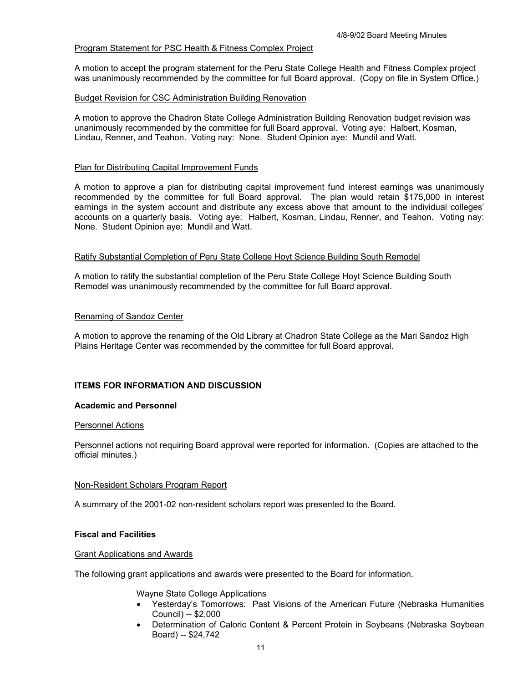# Program Statement for PSC Health & Fitness Complex Project

A motion to accept the program statement for the Peru State College Health and Fitness Complex project was unanimously recommended by the committee for full Board approval. (Copy on file in System Office.)

# Budget Revision for CSC Administration Building Renovation

A motion to approve the Chadron State College Administration Building Renovation budget revision was unanimously recommended by the committee for full Board approval. Voting aye: Halbert, Kosman, Lindau, Renner, and Teahon. Voting nay: None. Student Opinion aye: Mundil and Watt.

# Plan for Distributing Capital Improvement Funds

A motion to approve a plan for distributing capital improvement fund interest earnings was unanimously recommended by the committee for full Board approval. The plan would retain \$175,000 in interest earnings in the system account and distribute any excess above that amount to the individual colleges' accounts on a quarterly basis. Voting aye: Halbert, Kosman, Lindau, Renner, and Teahon. Voting nay: None. Student Opinion aye: Mundil and Watt.

### Ratify Substantial Completion of Peru State College Hoyt Science Building South Remodel

A motion to ratify the substantial completion of the Peru State College Hoyt Science Building South Remodel was unanimously recommended by the committee for full Board approval.

### Renaming of Sandoz Center

A motion to approve the renaming of the Old Library at Chadron State College as the Mari Sandoz High Plains Heritage Center was recommended by the committee for full Board approval.

# **ITEMS FOR INFORMATION AND DISCUSSION**

# **Academic and Personnel**

#### Personnel Actions

Personnel actions not requiring Board approval were reported for information. (Copies are attached to the official minutes.)

# Non-Resident Scholars Program Report

A summary of the 2001-02 non-resident scholars report was presented to the Board.

# **Fiscal and Facilities**

### Grant Applications and Awards

The following grant applications and awards were presented to the Board for information.

Wayne State College Applications

- Yesterday's Tomorrows: Past Visions of the American Future (Nebraska Humanities Council) -- \$2,000
- Determination of Caloric Content & Percent Protein in Soybeans (Nebraska Soybean Board) -- \$24,742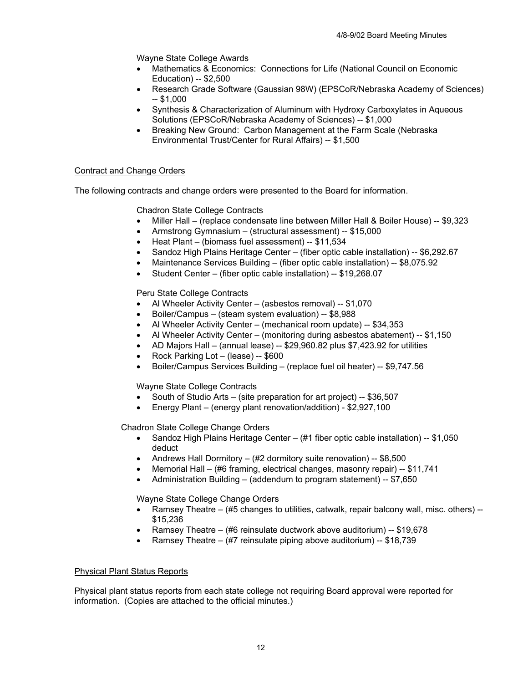Wayne State College Awards

- Mathematics & Economics: Connections for Life (National Council on Economic Education) -- \$2,500
- Research Grade Software (Gaussian 98W) (EPSCoR/Nebraska Academy of Sciences)  $-$  \$1,000
- Synthesis & Characterization of Aluminum with Hydroxy Carboxylates in Aqueous Solutions (EPSCoR/Nebraska Academy of Sciences) -- \$1,000
- Breaking New Ground: Carbon Management at the Farm Scale (Nebraska Environmental Trust/Center for Rural Affairs) -- \$1,500

# Contract and Change Orders

The following contracts and change orders were presented to the Board for information.

Chadron State College Contracts

- Miller Hall (replace condensate line between Miller Hall & Boiler House) -- \$9,323
- Armstrong Gymnasium (structural assessment) -- \$15,000
- Heat Plant (biomass fuel assessment) -- \$11,534
- Sandoz High Plains Heritage Center (fiber optic cable installation) -- \$6,292.67
- Maintenance Services Building (fiber optic cable installation) -- \$8,075.92
- Student Center (fiber optic cable installation) -- \$19,268.07

Peru State College Contracts

- Al Wheeler Activity Center (asbestos removal) -- \$1,070
- Boiler/Campus (steam system evaluation) -- \$8,988
- Al Wheeler Activity Center (mechanical room update) -- \$34,353
- Al Wheeler Activity Center (monitoring during asbestos abatement) --  $$1,150$
- AD Majors Hall (annual lease) -- \$29,960.82 plus \$7,423.92 for utilities
- Rock Parking Lot (lease) -- \$600
- Boiler/Campus Services Building (replace fuel oil heater) -- \$9,747.56

Wayne State College Contracts

- South of Studio Arts (site preparation for art project) -- \$36,507
- Energy Plant (energy plant renovation/addition) \$2,927,100

Chadron State College Change Orders

- Sandoz High Plains Heritage Center (#1 fiber optic cable installation) -- \$1,050 deduct
- Andrews Hall Dormitory (#2 dormitory suite renovation) -- \$8,500
- Memorial Hall (#6 framing, electrical changes, masonry repair) -- \$11,741
- Administration Building (addendum to program statement) -- \$7,650

Wayne State College Change Orders

- Ramsey Theatre (#5 changes to utilities, catwalk, repair balcony wall, misc. others) --\$15,236
- Ramsey Theatre (#6 reinsulate ductwork above auditorium) -- \$19,678
- Ramsey Theatre  $#7$  reinsulate piping above auditorium) -- \$18,739

# Physical Plant Status Reports

Physical plant status reports from each state college not requiring Board approval were reported for information. (Copies are attached to the official minutes.)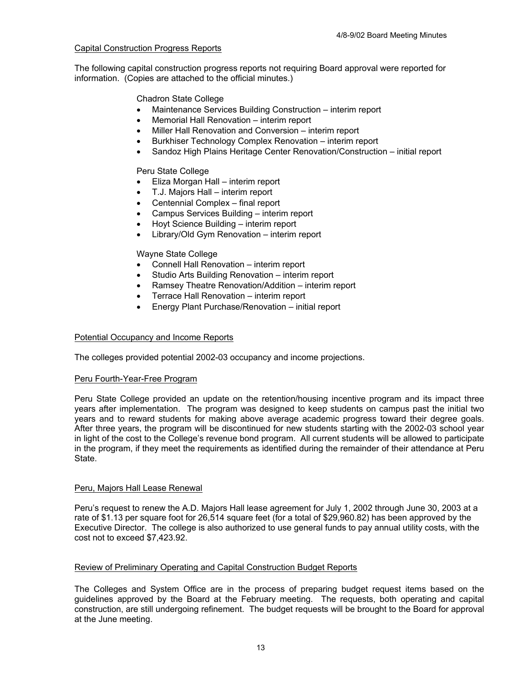# Capital Construction Progress Reports

The following capital construction progress reports not requiring Board approval were reported for information. (Copies are attached to the official minutes.)

# Chadron State College

- Maintenance Services Building Construction interim report
- Memorial Hall Renovation interim report
- Miller Hall Renovation and Conversion interim report
- Burkhiser Technology Complex Renovation interim report
- Sandoz High Plains Heritage Center Renovation/Construction initial report

# Peru State College

- Eliza Morgan Hall interim report
- T.J. Majors Hall interim report
- Centennial Complex final report
- Campus Services Building interim report
- Hoyt Science Building interim report
- Library/Old Gym Renovation interim report

# Wayne State College

- Connell Hall Renovation interim report
- Studio Arts Building Renovation interim report
- Ramsey Theatre Renovation/Addition interim report
- Terrace Hall Renovation interim report
- Energy Plant Purchase/Renovation initial report

# Potential Occupancy and Income Reports

The colleges provided potential 2002-03 occupancy and income projections.

# Peru Fourth-Year-Free Program

Peru State College provided an update on the retention/housing incentive program and its impact three years after implementation. The program was designed to keep students on campus past the initial two years and to reward students for making above average academic progress toward their degree goals. After three years, the program will be discontinued for new students starting with the 2002-03 school year in light of the cost to the College's revenue bond program. All current students will be allowed to participate in the program, if they meet the requirements as identified during the remainder of their attendance at Peru State.

# Peru, Majors Hall Lease Renewal

Peru's request to renew the A.D. Majors Hall lease agreement for July 1, 2002 through June 30, 2003 at a rate of \$1.13 per square foot for 26,514 square feet (for a total of \$29,960.82) has been approved by the Executive Director. The college is also authorized to use general funds to pay annual utility costs, with the cost not to exceed \$7,423.92.

# Review of Preliminary Operating and Capital Construction Budget Reports

The Colleges and System Office are in the process of preparing budget request items based on the guidelines approved by the Board at the February meeting. The requests, both operating and capital construction, are still undergoing refinement. The budget requests will be brought to the Board for approval at the June meeting.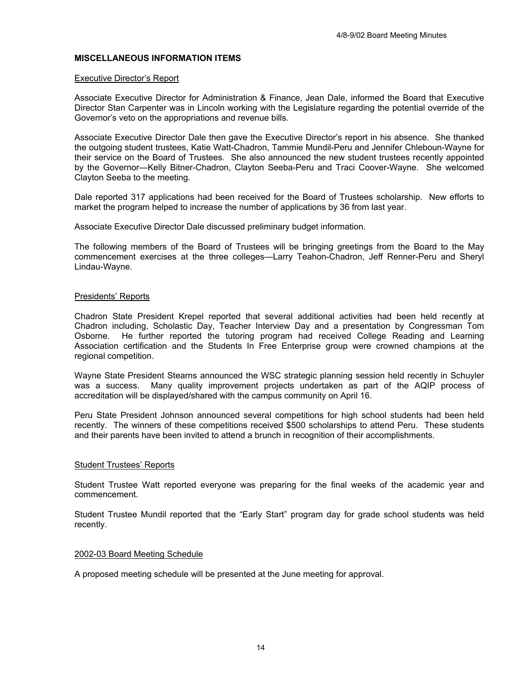### **MISCELLANEOUS INFORMATION ITEMS**

#### Executive Director's Report

Associate Executive Director for Administration & Finance, Jean Dale, informed the Board that Executive Director Stan Carpenter was in Lincoln working with the Legislature regarding the potential override of the Governor's veto on the appropriations and revenue bills.

Associate Executive Director Dale then gave the Executive Director's report in his absence. She thanked the outgoing student trustees, Katie Watt-Chadron, Tammie Mundil-Peru and Jennifer Chleboun-Wayne for their service on the Board of Trustees. She also announced the new student trustees recently appointed by the Governor—Kelly Bitner-Chadron, Clayton Seeba-Peru and Traci Coover-Wayne. She welcomed Clayton Seeba to the meeting.

Dale reported 317 applications had been received for the Board of Trustees scholarship. New efforts to market the program helped to increase the number of applications by 36 from last year.

Associate Executive Director Dale discussed preliminary budget information.

The following members of the Board of Trustees will be bringing greetings from the Board to the May commencement exercises at the three colleges—Larry Teahon-Chadron, Jeff Renner-Peru and Sheryl Lindau-Wayne.

### Presidents' Reports

Chadron State President Krepel reported that several additional activities had been held recently at Chadron including, Scholastic Day, Teacher Interview Day and a presentation by Congressman Tom Osborne. He further reported the tutoring program had received College Reading and Learning Association certification and the Students In Free Enterprise group were crowned champions at the regional competition.

Wayne State President Stearns announced the WSC strategic planning session held recently in Schuyler was a success. Many quality improvement projects undertaken as part of the AQIP process of accreditation will be displayed/shared with the campus community on April 16.

Peru State President Johnson announced several competitions for high school students had been held recently. The winners of these competitions received \$500 scholarships to attend Peru. These students and their parents have been invited to attend a brunch in recognition of their accomplishments.

#### Student Trustees' Reports

Student Trustee Watt reported everyone was preparing for the final weeks of the academic year and commencement.

Student Trustee Mundil reported that the "Early Start" program day for grade school students was held recently.

#### 2002-03 Board Meeting Schedule

A proposed meeting schedule will be presented at the June meeting for approval.